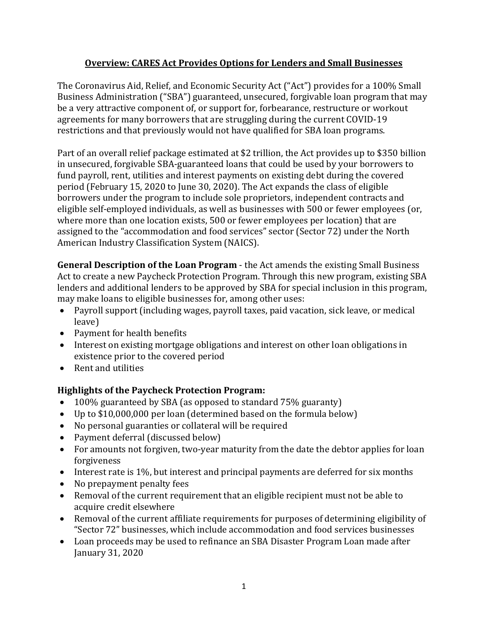## **Overview: CARES Act Provides Options for Lenders and Small Businesses**

The Coronavirus Aid, Relief, and Economic Security Act ("Act") provides for a 100% Small Business Administration ("SBA") guaranteed, unsecured, forgivable loan program that may be a very attractive component of, or support for, forbearance, restructure or workout agreements for many borrowers that are struggling during the current COVID-19 restrictions and that previously would not have qualified for SBA loan programs.

Part of an overall relief package estimated at \$2 trillion, the Act provides up to \$350 billion in unsecured, forgivable SBA-guaranteed loans that could be used by your borrowers to fund payroll, rent, utilities and interest payments on existing debt during the covered period (February 15, 2020 to June 30, 2020). The Act expands the class of eligible borrowers under the program to include sole proprietors, independent contracts and eligible self-employed individuals, as well as businesses with 500 or fewer employees (or, where more than one location exists, 500 or fewer employees per location) that are assigned to the "accommodation and food services" sector (Sector 72) under the North American Industry Classification System (NAICS).

**General Description of the Loan Program** - the Act amends the existing Small Business Act to create a new Paycheck Protection Program. Through this new program, existing SBA lenders and additional lenders to be approved by SBA for special inclusion in this program, may make loans to eligible businesses for, among other uses:

- Payroll support (including wages, payroll taxes, paid vacation, sick leave, or medical leave)
- Payment for health benefits
- Interest on existing mortgage obligations and interest on other loan obligations in existence prior to the covered period
- Rent and utilities

## **Highlights of the Paycheck Protection Program:**

- 100% guaranteed by SBA (as opposed to standard 75% guaranty)
- Up to \$10,000,000 per loan (determined based on the formula below)
- No personal guaranties or collateral will be required
- Payment deferral (discussed below)
- For amounts not forgiven, two-year maturity from the date the debtor applies for loan forgiveness
- Interest rate is 1%, but interest and principal payments are deferred for six months
- No prepayment penalty fees
- Removal of the current requirement that an eligible recipient must not be able to acquire credit elsewhere
- Removal of the current affiliate requirements for purposes of determining eligibility of "Sector 72" businesses, which include accommodation and food services businesses
- Loan proceeds may be used to refinance an SBA Disaster Program Loan made after January 31, 2020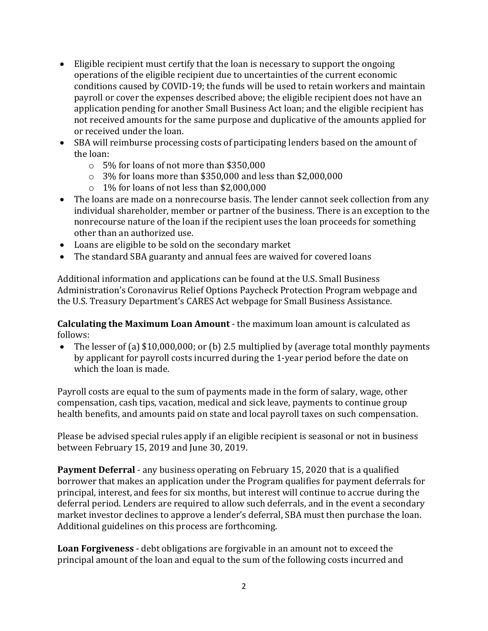- Eligible recipient must certify that the loan is necessary to support the ongoing operations of the eligible recipient due to uncertainties of the current economic conditions caused by COVID-19; the funds will be used to retain workers and maintain payroll or cover the expenses described above; the eligible recipient does not have an application pending for another Small Business Act loan; and the eligible recipient has not received amounts for the same purpose and duplicative of the amounts applied for or received under the loan.
- SBA will reimburse processing costs of participating lenders based on the amount of the loan:
	- o 5% for loans of not more than \$350,000
	- o 3% for loans more than \$350,000 and less than \$2,000,000
	- o 1% for loans of not less than \$2,000,000
- The loans are made on a nonrecourse basis. The lender cannot seek collection from any individual shareholder, member or partner of the business. There is an exception to the nonrecourse nature of the loan if the recipient uses the loan proceeds for something other than an authorized use.
- Loans are eligible to be sold on the secondary market
- The standard SBA guaranty and annual fees are waived for covered loans

Additional information and applications can be found at the U.S. Small Business Administration's Coronavirus Relief Options Paycheck Protection Program webpage and the U.S. Treasury Department's CARES Act webpage for Small Business Assistance.

**Calculating the Maximum Loan Amount** - the maximum loan amount is calculated as follows:

• The lesser of (a) \$10,000,000; or (b) 2.5 multiplied by (average total monthly payments by applicant for payroll costs incurred during the 1-year period before the date on which the loan is made.

Payroll costs are equal to the sum of payments made in the form of salary, wage, other compensation, cash tips, vacation, medical and sick leave, payments to continue group health benefits, and amounts paid on state and local payroll taxes on such compensation.

Please be advised special rules apply if an eligible recipient is seasonal or not in business between February 15, 2019 and June 30, 2019.

**Payment Deferral** - any business operating on February 15, 2020 that is a qualified borrower that makes an application under the Program qualifies for payment deferrals for principal, interest, and fees for six months, but interest will continue to accrue during the deferral period. Lenders are required to allow such deferrals, and in the event a secondary market investor declines to approve a lender's deferral, SBA must then purchase the loan. Additional guidelines on this process are forthcoming.

**Loan Forgiveness** - debt obligations are forgivable in an amount not to exceed the principal amount of the loan and equal to the sum of the following costs incurred and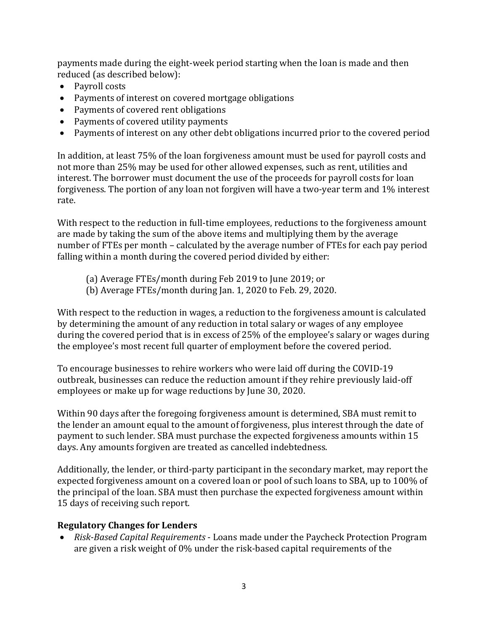payments made during the eight-week period starting when the loan is made and then reduced (as described below):

- Payroll costs
- Payments of interest on covered mortgage obligations
- Payments of covered rent obligations
- Payments of covered utility payments
- Payments of interest on any other debt obligations incurred prior to the covered period

In addition, at least 75% of the loan forgiveness amount must be used for payroll costs and not more than 25% may be used for other allowed expenses, such as rent, utilities and interest. The borrower must document the use of the proceeds for payroll costs for loan forgiveness. The portion of any loan not forgiven will have a two-year term and 1% interest rate.

With respect to the reduction in full-time employees, reductions to the forgiveness amount are made by taking the sum of the above items and multiplying them by the average number of FTEs per month – calculated by the average number of FTEs for each pay period falling within a month during the covered period divided by either:

- (a) Average FTEs/month during Feb 2019 to June 2019; or
- (b) Average FTEs/month during Jan. 1, 2020 to Feb. 29, 2020.

With respect to the reduction in wages, a reduction to the forgiveness amount is calculated by determining the amount of any reduction in total salary or wages of any employee during the covered period that is in excess of 25% of the employee's salary or wages during the employee's most recent full quarter of employment before the covered period.

To encourage businesses to rehire workers who were laid off during the COVID-19 outbreak, businesses can reduce the reduction amount if they rehire previously laid-off employees or make up for wage reductions by June 30, 2020.

Within 90 days after the foregoing forgiveness amount is determined, SBA must remit to the lender an amount equal to the amount of forgiveness, plus interest through the date of payment to such lender. SBA must purchase the expected forgiveness amounts within 15 days. Any amounts forgiven are treated as cancelled indebtedness.

Additionally, the lender, or third-party participant in the secondary market, may report the expected forgiveness amount on a covered loan or pool of such loans to SBA, up to 100% of the principal of the loan. SBA must then purchase the expected forgiveness amount within 15 days of receiving such report.

## **Regulatory Changes for Lenders**

 *Risk-Based Capital Requirements* - Loans made under the Paycheck Protection Program are given a risk weight of 0% under the risk-based capital requirements of the